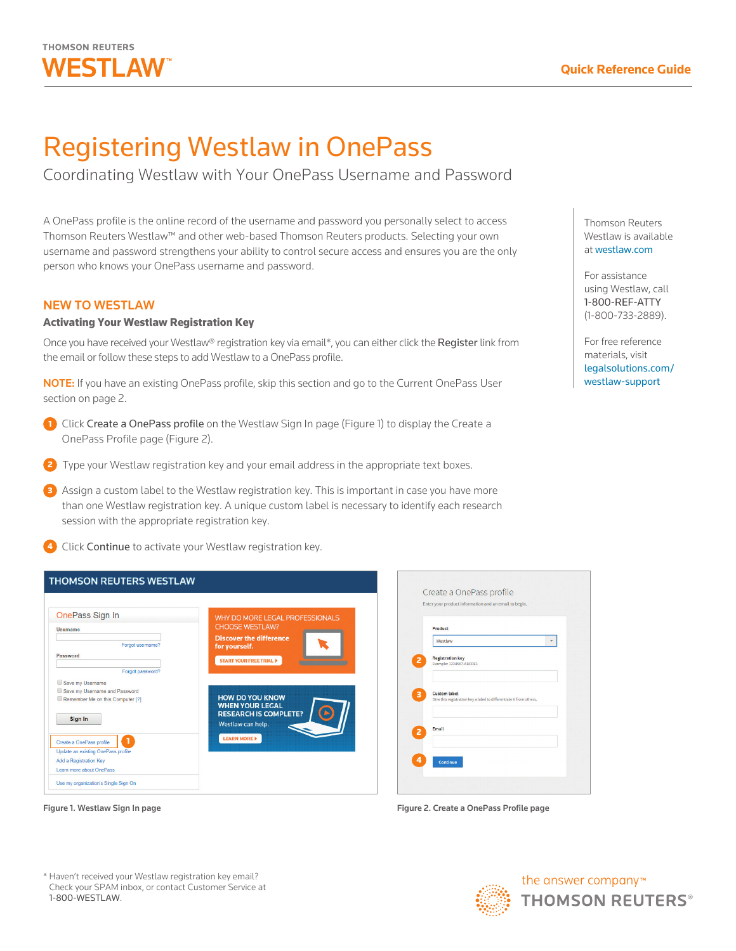

# Registering Westlaw in OnePass

Coordinating Westlaw with Your OnePass Username and Password

A OnePass profile is the online record of the username and password you personally select to access Thomson Reuters Westlaw™ and other web-based Thomson Reuters products. Selecting your own username and password strengthens your ability to control secure access and ensures you are the only person who knows your OnePass username and password.

## NEW TO WESTLAW

### Activating Your Westlaw Registration Key

Once you have received your Westlaw® registration key via email\*, you can either click the Register link from the email or follow these steps to add Westlaw to a OnePass profile.

NOTE: If you have an existing OnePass profile, skip this section and go to the Current OnePass User section on page 2.

- 1 Click Create a OnePass profile on the Westlaw Sign In page (Figure 1) to display the Create a OnePass Profile page (Figure 2).
- 2 Type your Westlaw registration key and your email address in the appropriate text boxes.
- 3 Assign a custom label to the Westlaw registration key. This is important in case you have more than one Westlaw registration key. A unique custom label is necessary to identify each research session with the appropriate registration key.
- **4** Click Continue to activate your Westlaw registration key.

| <b>THOMSON REUTERS WESTLAW</b>       |                                                                                  |                                                                     |
|--------------------------------------|----------------------------------------------------------------------------------|---------------------------------------------------------------------|
|                                      |                                                                                  | Create a OnePass profile                                            |
|                                      |                                                                                  | Enter your product information and an email to begin.               |
| OnePass Sign In                      | WHY DO MORE LEGAL PROFESSIONALS                                                  |                                                                     |
| <b>Username</b>                      | <b>CHOOSE WESTLAW?</b>                                                           | Product                                                             |
| Forgot username?                     | <b>Discover the difference</b><br>for yourself.                                  | Westlaw<br>$\mathbf{v}$                                             |
| Password                             | <b>START YOUR FREE TRIAL D</b>                                                   | <b>Registration key</b><br>$\overline{z}$                           |
| Forgot password?                     |                                                                                  | Example: 1234567-ABCDE1                                             |
| Save my Username                     |                                                                                  |                                                                     |
| Save my Username and Password        |                                                                                  | <b>Custom label</b><br>3                                            |
| Remember Me on this Computer [?]     | <b>HOW DO YOU KNOW</b><br><b>WHEN YOUR LEGAL</b><br><b>RESEARCH IS COMPLETE?</b> | Give this registration key a label to differentiate it from others. |
| Sign In                              | Westlaw can help.                                                                | Email<br>$\overline{2}$                                             |
| 1<br>Create a OnePass profile        | <b>LEARN MORE &gt;</b>                                                           |                                                                     |
| Update an existing OnePass profile   |                                                                                  |                                                                     |
| Add a Registration Key               |                                                                                  | Continue                                                            |
| Learn more about OnePass             |                                                                                  |                                                                     |
| Use my organization's Single Sign On |                                                                                  |                                                                     |

Figure 1. Westlaw Sign In page



Thomson Reuters Westlaw is available at [westlaw.com](http://westlaw.com)

For assistance using Westlaw, call 1-800-REF-ATTY (1-800-733-2889).

For free reference materials, visit [legalsolutions.com/](http://legalsolutions.com/westlaw-support) [westlaw-support](http://legalsolutions.com/westlaw-support)

Figure 2. Create a OnePass Profile page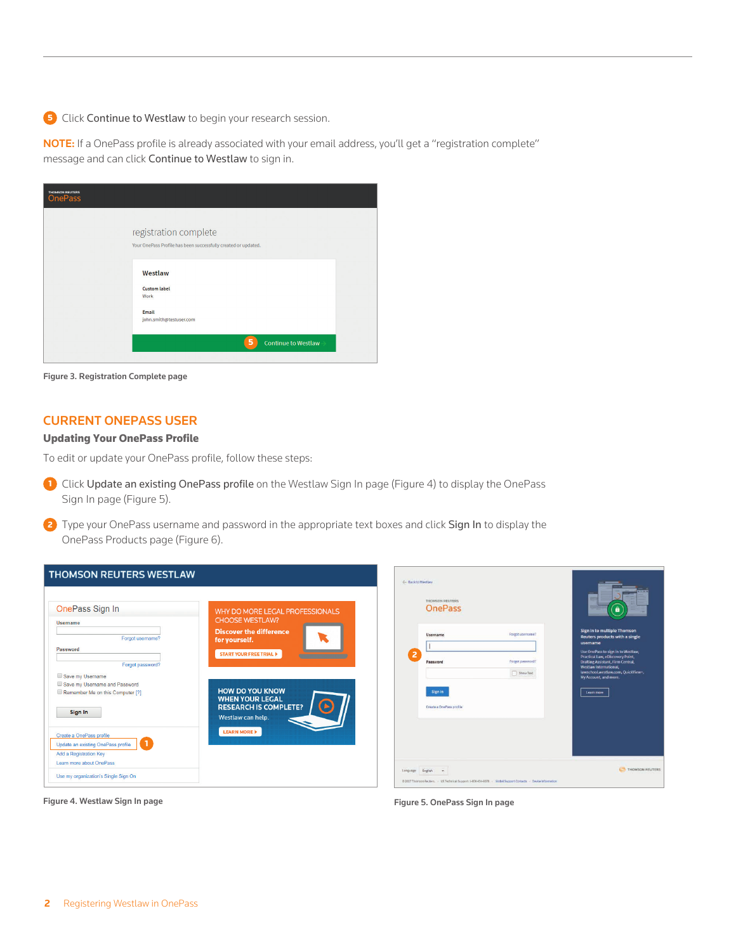5 Click Continue to Westlaw to begin your research session.

NOTE: If a OnePass profile is already associated with your email address, you'll get a "registration complete" message and can click Continue to Westlaw to sign in.

| <b>OnePass</b> |                                                                |  |
|----------------|----------------------------------------------------------------|--|
|                | registration complete                                          |  |
|                | Your OnePass Profile has been successfully created or updated. |  |
|                | Westlaw                                                        |  |
|                | <b>Custom label</b><br>Work                                    |  |
|                | Email<br>john.smith@testuser.com                               |  |
|                | 5<br><b>Continue to Westlaw</b>                                |  |

Figure 3. Registration Complete page

## CURRENT ONEPASS USER

#### Updating Your OnePass Profile

To edit or update your OnePass profile, follow these steps:

- 1 Click Update an existing OnePass profile on the Westlaw Sign In page (Figure 4) to display the OnePass Sign In page (Figure 5).
- 2 Type your OnePass username and password in the appropriate text boxes and click Sign In to display the OnePass Products page (Figure 6).

| <b>THOMSON REUTERS WESTLAW</b>                                                                                       |                                                                                                                   | - Back to Westlaw                                                                                                                                  |                                                                                                                                                                               |
|----------------------------------------------------------------------------------------------------------------------|-------------------------------------------------------------------------------------------------------------------|----------------------------------------------------------------------------------------------------------------------------------------------------|-------------------------------------------------------------------------------------------------------------------------------------------------------------------------------|
| OnePass Sign In<br>Username<br>Forgot username?<br>Password                                                          | WHY DO MORE LEGAL PROFESSIONALS<br><b>CHOOSE WESTLAW?</b><br><b>Discover the difference</b><br>for yourself.      | THOMSON REUTERS<br><b>OnePass</b><br>Forgot username?<br>Username                                                                                  | â<br>Sign in to multiple Thomson<br>Reuters products with a single<br>username<br>Use OnePass to sign in to Westlaw,                                                          |
| Forgot password?<br>Save my Username<br>Save my Username and Password                                                | <b>START YOUR FREE TRIAL D</b>                                                                                    | 2<br>Forgot password?<br>Password<br>Show Text                                                                                                     | Practical Law, eDiscovery Point,<br><b>Drafting Assistant, Firm Central,</b><br><b>Westlaw International</b> ,<br>lawschool.westlaw.com. OuickView+,<br>My Account, and more. |
| Remember Me on this Computer [?]<br>Sign In                                                                          | <b>HOW DO YOU KNOW</b><br><b>WHEN YOUR LEGAL</b><br>$\Theta$<br><b>RESEARCH IS COMPLETE?</b><br>Westlaw can help. | Sign in<br>Create a OnePass profile                                                                                                                | Learn more                                                                                                                                                                    |
| Create a OnePass profile<br>Update an existing OnePass profile<br>Add a Registration Key<br>Learn more about OnePass | <b>LEARN MORE &gt;</b>                                                                                            |                                                                                                                                                    |                                                                                                                                                                               |
| Use my organization's Single Sign On                                                                                 |                                                                                                                   | Language English<br>$\rightarrow$<br>@ 2017 Thomson Reuters. - US Technical Support: 1-800-934-9378 - Global Support Contacts - Device Information | THOMSON REUTERS                                                                                                                                                               |

Figure 4. Westlaw Sign In page

Figure 5. OnePass Sign In page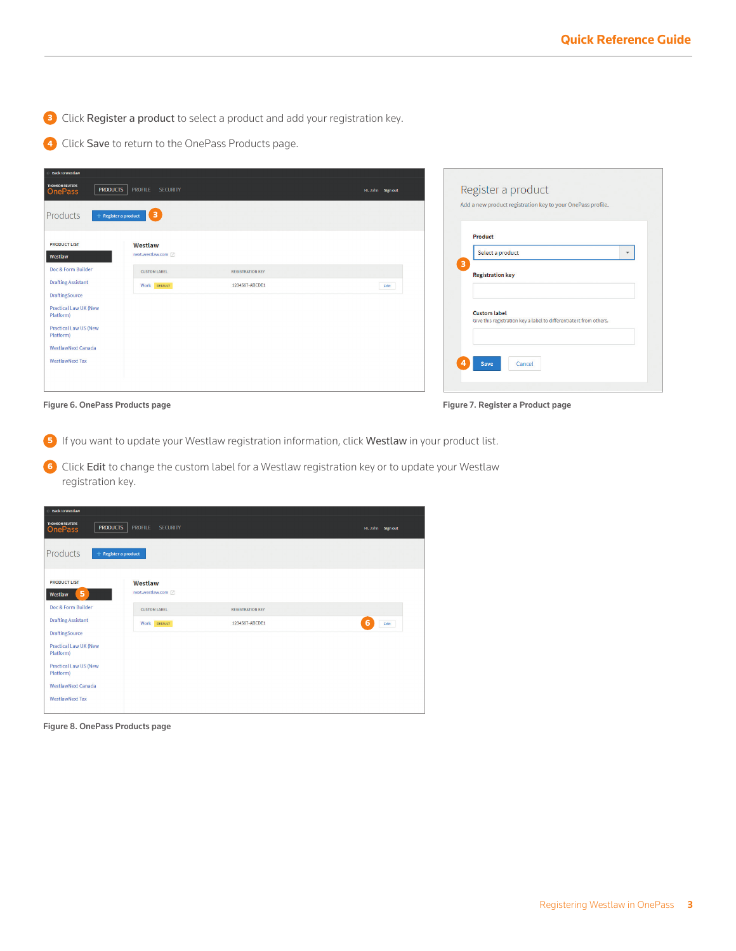<sup>3</sup> Click Register a product to select a product and add your registration key.

4 Click Save to return to the OnePass Products page.

| <b>Back to Westlaw</b>                                                                                          |                                                |                                                                                            |
|-----------------------------------------------------------------------------------------------------------------|------------------------------------------------|--------------------------------------------------------------------------------------------|
| <b>THOMSON REUTERS</b><br><b>PRODUCTS</b><br><b>OnePass</b>                                                     | <b>SECURITY</b><br><b>PROFILE</b>              | Register a product<br>Hi, John Sign out                                                    |
| Products<br>$+$ Register a product                                                                              | $\blacksquare$                                 | Add a new product registration key to your OnePass profile.                                |
| <b>PRODUCT LIST</b>                                                                                             | Westlaw                                        | Product                                                                                    |
| Westlaw                                                                                                         | next.westlaw.com                               | Select a product                                                                           |
| Doc & Form Builder                                                                                              | <b>CUSTOM LABEL</b><br><b>REGISTRATION KEY</b> | 3<br><b>Registration key</b>                                                               |
| <b>Drafting Assistant</b>                                                                                       | 1234567-ABCDE1<br>Work DEFAULT                 | Edit                                                                                       |
| <b>DraftingSource</b><br><b>Practical Law UK (New</b><br>Platform)<br><b>Practical Law US (New</b><br>Platform) |                                                | <b>Custom label</b><br>Give this registration key a label to differentiate it from others. |
| <b>WestlawNext Canada</b><br><b>WestlawNext Tax</b>                                                             |                                                | Cancel<br>Save                                                                             |

Figure 6. OnePass Products page

Figure 7. Register a Product page

<sup>5</sup> If you want to update your Westlaw registration information, click Westlaw in your product list.

6 Click Edit to change the custom label for a Westlaw registration key or to update your Westlaw registration key.

| <b>Back to Westlaw</b>                                      |                                   |                         |                   |
|-------------------------------------------------------------|-----------------------------------|-------------------------|-------------------|
| <b>THOMSON REUTERS</b><br><b>PRODUCTS</b><br><b>OnePass</b> | <b>PROFILE</b><br><b>SECURITY</b> |                         | Hi, John Sign out |
| Products<br>$+$ Register a product                          |                                   |                         |                   |
| <b>PRODUCT LIST</b><br>5<br>Westlaw                         | Westlaw<br>next.westlaw.com       |                         |                   |
| Doc & Form Builder                                          | <b>CUSTOM LABEL</b>               | <b>REGISTRATION KEY</b> |                   |
| <b>Drafting Assistant</b>                                   | Work DEFAULT                      | 1234567-ABCDE1          | 6<br>Edit         |
| <b>DraftingSource</b>                                       |                                   |                         |                   |
| <b>Practical Law UK (New</b><br>Platform)                   |                                   |                         |                   |
| <b>Practical Law US (New</b><br>Platform)                   |                                   |                         |                   |
| <b>WestlawNext Canada</b>                                   |                                   |                         |                   |
| <b>WestlawNext Tax</b>                                      |                                   |                         |                   |

Figure 8. OnePass Products page